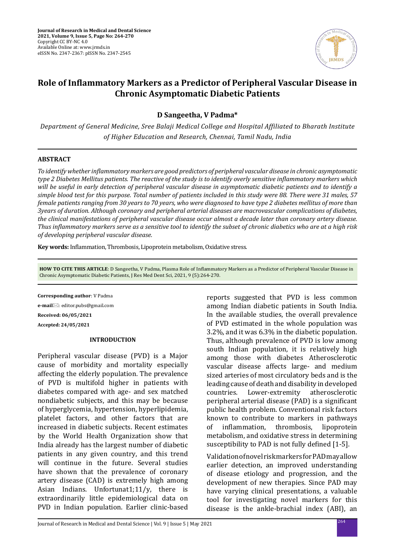

# **Role of Inflammatory Markers as a Predictor of Peripheral Vascular Disease in Chronic Asymptomatic Diabetic Patients**

**D Sangeetha, V Padma\***

*Department of General Medicine, Sree Balaji Medical College and Hospital Affiliated to Bharath Institute of Higher Education and Research, Chennai, Tamil Nadu, India*

## **ABSTRACT**

*To identify whether inflammatory markers are good predictors of peripheral vascular disease in chronic asymptomatic type 2 Diabetes Mellitus patients. The reactive of the study is to identify overly sensitive inflammatory markers which will be useful in early detection of peripheral vascular disease in asymptomatic diabetic patients and to identify a simple blood test for this purpose. Total number of patients included in this study were 88. There were 31 males, 57 female patients ranging from 30 years to 70 years, who were diagnosed to have type 2 diabetes mellitus of more than 3years of duration. Although coronary and peripheral arterial diseases are macrovascular complications of diabetes, the clinical manifestations of peripheral vascular disease occur almost a decade later than coronary artery disease. Thus inflammatory markers serve as a sensitive tool to identify the subset of chronic diabetics who are at a high risk of developing peripheral vascular disease.*

**Key words:** Inflammation, Thrombosis, Lipoprotein metabolism, Oxidative stress.

**HOW TO CITE THIS ARTICLE**: D Sangeetha, V Padma, Plasma Role of Inflammatory Markers as a Predictor of Peripheral Vascular Disease in Chronic Asymptomatic Diabetic Patients, J Res Med Dent Sci, 2021, 9 (5):264-270.

**Corresponding author**: V Padma **e-mail**⊠: editor.pubs@gmail.com **Received: 06/05/2021 Accepted: 24/05/2021**

### **INTRODUCTION**

Peripheral vascular disease (PVD) is a Major cause of morbidity and mortality especially affecting the elderly population. The prevalence of PVD is multifold higher in patients with diabetes compared with age- and sex matched nondiabetic subjects, and this may be because of hyperglycemia, hypertension, hyperlipidemia, platelet factors, and other factors that are increased in diabetic subjects. Recent estimates by the World Health Organization show that India already has the largest number of diabetic patients in any given country, and this trend will continue in the future. Several studies have shown that the prevalence of coronary artery disease (CAD) is extremely high among Asian Indians. Unfortunat1;11/y, there is extraordinarily little epidemiological data on PVD in Indian population. Earlier clinic-based reports suggested that PVD is less common among Indian diabetic patients in South India. In the available studies, the overall prevalence of PVD estimated in the whole population was 3.2%, and it was 6.3% in the diabetic population. Thus, although prevalence of PVD is low among south Indian population, it is relatively high among those with diabetes Atherosclerotic vascular disease affects large- and medium sized arteries of most circulatory beds and is the leading cause of death and disability in developed Lower-extremity peripheral arterial disease (PAD) is a significant public health problem. Conventional risk factors known to contribute to markers in pathways<br>of inflammation, thrombosis, lipoprotein of inflammation. metabolism, and oxidative stress in determining susceptibility to PAD is not fully defined [1-5].

Validation of novel risk markers for PAD may allow earlier detection, an improved understanding of disease etiology and progression, and the development of new therapies. Since PAD may have varying clinical presentations, a valuable tool for investigating novel markers for this disease is the ankle-brachial index (ABI), an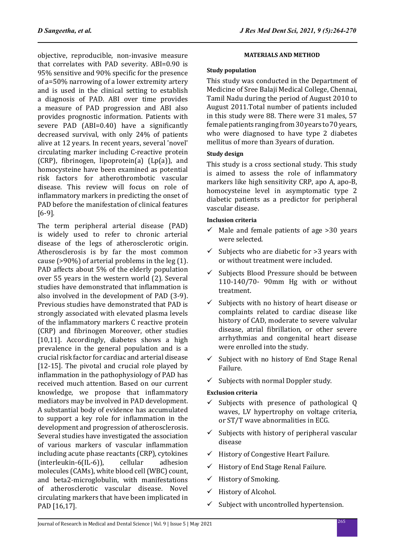objective, reproducible, non-invasive measure that correlates with PAD severity. ABI=0.90 is 95% sensitive and 90% specific for the presence of a=50% narrowing of a lower extremity artery and is used in the clinical setting to establish a diagnosis of PAD. ABI over time provides a measure of PAD progression and ABI also provides prognostic information. Patients with severe PAD (ABI=0.40) have a significantly decreased survival, with only 24% of patients alive at 12 years. In recent years, several 'novel' circulating marker including C-reactive protein (CRP), fibrinogen, lipoprotein(a) (Lp(a)), and homocysteine have been examined as potential risk factors for atherothrombotic vascular disease. This review will focus on role of inflammatory markers in predicting the onset of PAD before the manifestation of clinical features [6-9].

The term peripheral arterial disease (PAD) is widely used to refer to chronic arterial disease of the legs of atherosclerotic origin. Atherosclerosis is by far the most common cause (>90%) of arterial problems in the leg (1). PAD affects about 5% of the elderly population over 55 years in the western world (2). Several studies have demonstrated that inflammation is also involved in the development of PAD (3-9). Previous studies have demonstrated that PAD is strongly associated with elevated plasma levels of the inflammatory markers C reactive protein (CRP) and fibrinogen Moreover, other studies [10,11]. Accordingly, diabetes shows a high prevalence in the general population and is a crucial risk factor for cardiac and arterial disease [12-15]. The pivotal and crucial role played by inflammation in the pathophysiology of PAD has received much attention. Based on our current knowledge, we propose that inflammatory mediators may be involved in PAD development. A substantial body of evidence has accumulated to support a key role for inflammation in the development and progression of atherosclerosis. Several studies have investigated the association of various markers of vascular inflammation including acute phase reactants (CRP), cytokines  $(interleukin-6(IL-6)).$ molecules (CAMs), white blood cell (WBC) count, and beta2-microglobulin, with manifestations of atherosclerotic vascular disease. Novel circulating markers that have been implicated in PAD [16,17].

## **MATERIALS AND METHOD**

## **Study population**

This study was conducted in the Department of Medicine of Sree Balaji Medical College, Chennai, Tamil Nadu during the period of August 2010 to August 2011.Total number of patients included in this study were 88. There were 31 males, 57 female patients ranging from 30 years to 70 years, who were diagnosed to have type 2 diabetes mellitus of more than 3years of duration.

## **Study design**

This study is a cross sectional study. This study is aimed to assess the role of inflammatory markers like high sensitivity CRP, apo A, apo-B, homocysteine level in asymptomatic type 2 diabetic patients as a predictor for peripheral vascular disease.

## **Inclusion criteria**

- $\checkmark$  Male and female patients of age >30 years were selected.
- $\checkmark$  Subjects who are diabetic for >3 years with or without treatment were included.
- $\checkmark$  Subjects Blood Pressure should be between 110-140/70- 90mm Hg with or without treatment.
- $\checkmark$  Subjects with no history of heart disease or complaints related to cardiac disease like history of CAD, moderate to severe valvular disease, atrial fibrillation, or other severe arrhythmias and congenital heart disease were enrolled into the study.
- $\checkmark$  Subject with no history of End Stage Renal Failure.
- $\checkmark$  Subjects with normal Doppler study.

## **Exclusion criteria**

- $\checkmark$  Subjects with presence of pathological Q waves, LV hypertrophy on voltage criteria, or ST/T wave abnormalities in ECG.
- $\checkmark$  Subjects with history of peripheral vascular disease
- $\checkmark$  History of Congestive Heart Failure.
- $\checkmark$  History of End Stage Renal Failure.
- $\checkmark$  History of Smoking.
- $\checkmark$  History of Alcohol.
- $\checkmark$  Subject with uncontrolled hypertension.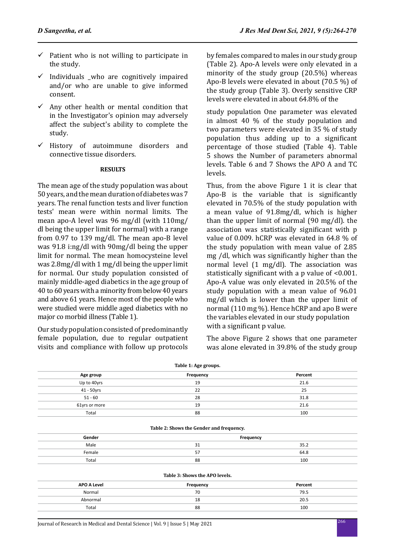- $\checkmark$  Patient who is not willing to participate in the study.
- $\checkmark$  Individuals who are cognitively impaired and/or who are unable to give informed consent.
- $\checkmark$  Any other health or mental condition that in the Investigator's opinion may adversely affect the subject's ability to complete the study.
- $\checkmark$  History of autoimmune disorders and connective tissue disorders.

### **RESULTS**

The mean age of the study population was about 50 years, and the mean duration of diabetes was 7 years. The renal function tests and liver function tests' mean were within normal limits. The mean apo-A level was 96 mg/dl (with 110mg/ dl being the upper limit for normal) with a range from 0.97 to 139 mg/dl. The mean apo-B level was 91.8 i:ng/dl with 90mg/dl being the upper limit for normal. The mean homocysteine level was 2.8mg/dl with 1 mg/dl being the upper limit for normal. Our study population consisted of mainly middle-aged diabetics in the age group of 40 to 60 years with a minority from below 40 years and above 61 years. Hence most of the people who were studied were middle aged diabetics with no major co morbid illness (Table 1).

Our study population consisted of predominantly female population, due to regular outpatient visits and compliance with follow up protocols by females compared to males in our study group (Table 2). Apo-A levels were only elevated in a minority of the study group (20.5%) whereas Apo-B levels were elevated in about (70.5 %) of the study group (Table 3). Overly sensitive CRP levels were elevated in about 64.8% of the

study population One parameter was elevated in almost 40 % of the study population and two parameters were elevated in 35 % of study population thus adding up to a significant percentage of those studied (Table 4). Table 5 shows the Number of parameters abnormal levels. Table 6 and 7 Shows the APO A and TC levels.

Thus, from the above Figure 1 it is clear that Apo-B is the variable that is significantly elevated in 70.5% of the study population with a mean value of 91.8mg/dl, which is higher than the upper limit of normal (90 mg/dl). the association was statistically significant with p value of 0.009. hCRP was elevated in 64.8 % of the study population with mean value of 2.85 mg /dl, which was significantly higher than the normal level (1 mg/dl). The association was statistically significant with a p value of <0.001. Apo-A value was only elevated in 20.5% of the study population with a mean value of 96.01 mg/dl which is lower than the upper limit of normal (110 mg %). Hence hCRP and apo B were the variables elevated in our study population with a significant p value.

The above Figure 2 shows that one parameter was alone elevated in 39.8% of the study group

| Table 1: Age groups. |           |         |  |  |  |
|----------------------|-----------|---------|--|--|--|
| Age group            | Frequency | Percent |  |  |  |
| Up to 40yrs          | 19        | 21.6    |  |  |  |
| 41 - 50yrs           | 22        | 25      |  |  |  |
| $51 - 60$            | 28        | 31.8    |  |  |  |
| 61yrs or more        | 19        | 21.6    |  |  |  |
| Total                | 88        | 100     |  |  |  |

#### **Table 2: Shows the Gender and frequency.**

| Gender |                 | Frequency |
|--------|-----------------|-----------|
| Male   | - 1             | 35.2      |
| Female | --<br>ь.<br>J., | 64.8      |
| Total  | 88              | 100       |

#### **Table 3: Shows the APO levels.**

| <b>APO A Level</b> | Frequency | Percent |
|--------------------|-----------|---------|
| Normal             | 70        | 79.5    |
| Abnormal           | 18        | 20.5    |
| Total              | 88        | 100     |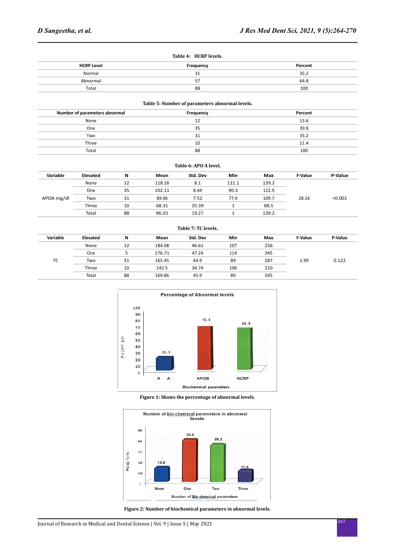| Table 4: HCRP levels. |           |         |  |  |
|-----------------------|-----------|---------|--|--|
| <b>HCRP Level</b>     | Frequency | Percent |  |  |
| Normal                | 31        | 35.2    |  |  |
| Abnormal              | 57        | 64.8    |  |  |
| Total                 | 88        | 100     |  |  |

#### **Table 5: Number of parameters abnormal levels.**

| Number of parameters abnormal | Frequency | Percent |
|-------------------------------|-----------|---------|
| None                          | 12        | 13.6    |
| One                           | 35        | 39.8    |
| Two                           | 31        | 35.2    |
| Three                         | 10        | 11.4    |
| Total                         | 88        | 100     |

| Table 6: APO A level. |          |    |        |          |       |       |                |         |
|-----------------------|----------|----|--------|----------|-------|-------|----------------|---------|
| Variable              | Elevated | N  | Mean   | Std. Dev | Min   | Max   | <b>F-Value</b> | P-Value |
|                       | None     | 12 | 118.18 | 8.1      | 111.1 | 139.2 |                |         |
|                       | One      | 35 | 102.11 | 8.44     | 90.3  | 122.9 |                |         |
| APOA mg/dl            | Two      | 31 | 89.48  | 7.52     | 77.4  | 109.7 | 28.16          | < 0.001 |
|                       | Three    | 10 | 68.31  | 35.39    |       | 88.5  |                |         |
|                       | Total    | 88 | 96.01  | 19.27    |       | 139.2 |                |         |

| Table 7: TC levels. |          |    |        |          |            |     |                |         |
|---------------------|----------|----|--------|----------|------------|-----|----------------|---------|
| Variable            | Elevated | N  | Mean   | Std. Dev | <b>Min</b> | Max | <b>F-Value</b> | P-Value |
|                     | None     | 12 | 184.08 | 46.61    | 107        | 256 |                |         |
|                     | One      |    | 176.71 | 47.24    | 114        | 345 |                |         |
| ТC                  | Two      | 31 | 165.45 | 44.9     | 89         | 287 | 1.99           | 0.122   |
|                     | Three    | 10 | 142.5  | 34.74    | 106        | 210 |                |         |
|                     | Total    | 88 | 169.86 | 45.9     | 89         | 345 |                |         |



**Figure 1: Shows the percentage of abnormal levels.**



**Figure 2: Number of biochemical parameters in abnormal levels.**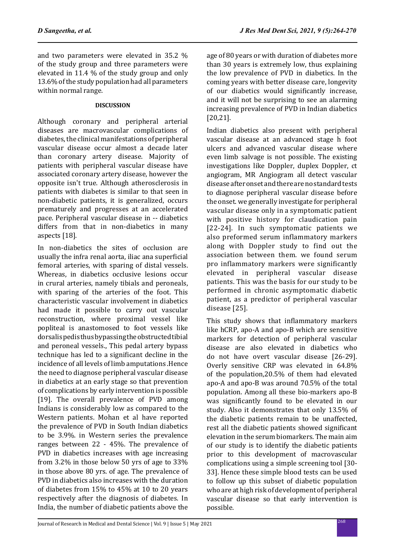and two parameters were elevated in 35.2 % of the study group and three parameters were elevated in 11.4 % of the study group and only 13.6% of the study population had all parameters within normal range.

## **DISCUSSION**

Although coronary and peripheral arterial diseases are macrovascular complications of diabetes, the clinical manifestations of peripheral vascular disease occur almost a decade later than coronary artery disease. Majority of patients with peripheral vascular disease have associated coronary artery disease, however the opposite isn't true. Although atherosclerosis in patients with diabetes is similar to that seen in non-diabetic patients, it is generalized, occurs prematurely and progresses at an accelerated pace. Peripheral vascular disease in -- diabetics differs from that in non-diabetics in many aspects [18].

In non-diabetics the sites of occlusion are usually the infra renal aorta, iliac ana superficial femoral arteries, with sparing of distal vessels. Whereas, in diabetics occlusive lesions occur in crural arteries, namely tibials and peroneals, with sparing of the arteries of the foot. This characteristic vascular involvement in diabetics had made it possible to carry out vascular reconstruction, where proximal vessel like popliteal is anastomosed to foot vessels like dorsalis pedis thus bypassing the obstructed tibial and peroneal vessels., This pedal artery bypass technique has led to a significant decline in the incidence of all levels of limb amputations .Hence the need to diagnose peripheral vascular disease in diabetics at an early stage so that prevention of complications by early intervention is possible [19]. The overall prevalence of PVD among Indians is considerably low as compared to the Western patients. Mohan et al have reported the prevalence of PVD in South Indian diabetics to be 3.9%. in Western series the prevalence ranges between 22 - 45%. The prevalence of PVD in diabetics increases with age increasing from 3.2% in those below 50 yrs of age to 33% in those above 80 yrs. of age. The prevalence of PVD in diabetics also increases with the duration of diabetes from 15% to 45% at 10 to 20 years respectively after the diagnosis of diabetes. In India, the number of diabetic patients above the age of 80 years or with duration of diabetes more than 30 years is extremely low, thus explaining the low prevalence of PVD in diabetics. In the coming years with better disease care, longevity of our diabetics would significantly increase, and it will not be surprising to see an alarming increasing prevalence of PVD in Indian diabetics [20,21].

Indian diabetics also present with peripheral vascular disease at an advanced stage h foot ulcers and advanced vascular disease where even limb salvage is not possible. The existing investigations like Doppler, duplex Doppler, ct angiogram, MR Angiogram all detect vascular disease after onset and there are no standard tests to diagnose peripheral vascular disease before the onset. we generally investigate for peripheral vascular disease only in a symptomatic patient with positive history for claudication pain [22-24]. In such symptomatic patients we also preformed serum inflammatory markers along with Doppler study to find out the association between them. we found serum pro inflammatory markers were significantly elevated in peripheral vascular disease patients. This was the basis for our study to be performed in chronic asymptomatic diabetic patient, as a predictor of peripheral vascular disease [25].

This study shows that inflammatory markers like hCRP, apo-A and apo-B which are sensitive markers for detection of peripheral vascular disease are also elevated in diabetics who do not have overt vascular disease [26-29]. Overly sensitive CRP was elevated in 64.8% of the population,20.5% of them had elevated apo-A and apo-B was around 70.5% of the total population. Among all these bio-markers apo-B was significantly found to be elevated in our study. Also it demonstrates that only 13.5% of the diabetic patients remain to be unaffected, rest all the diabetic patients showed significant elevation in the serum biomarkers. The main aim of our study is to identify the diabetic patients prior to this development of macrovascular complications using a simple screening tool [30- 33]. Hence these simple blood tests can be used to follow up this subset of diabetic population who are at high risk of development of peripheral vascular disease so that early intervention is possible.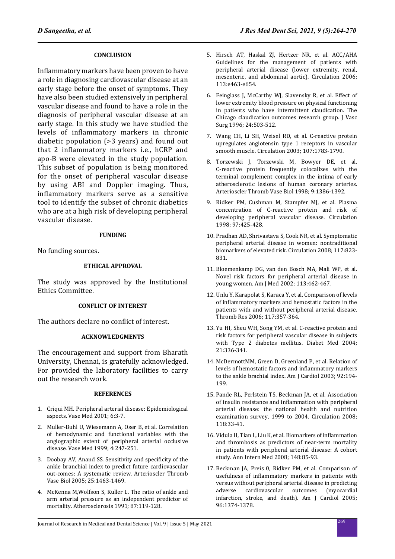## **CONCLUSION**

Inflammatory markers have been proven to have a role in diagnosing cardiovascular disease at an early stage before the onset of symptoms. They have also been studied extensively in peripheral vascular disease and found to have a role in the diagnosis of peripheral vascular disease at an early stage. In this study we have studied the levels of inflammatory markers in chronic diabetic population (>3 years) and found out that 2 inflammatory markers i.e., hCRP and apo-B were elevated in the study population. This subset of population is being monitored for the onset of peripheral vascular disease by using ABI and Doppler imaging. Thus, inflammatory markers serve as a sensitive tool to identify the subset of chronic diabetics who are at a high risk of developing peripheral vascular disease.

### **FUNDING**

No funding sources.

### **ETHICAL APPROVAL**

The study was approved by the Institutional Ethics Committee.

### **CONFLICT OF INTEREST**

The authors declare no conflict of interest.

### **ACKNOWLEDGMENTS**

The encouragement and support from Bharath University, Chennai, is gratefully acknowledged. For provided the laboratory facilities to carry out the research work.

### **REFERENCES**

- 1. Criqui MH. Peripheral arterial disease: Epidemiological aspects. Vase Med 2001; 6:3-7.
- 2. Muller-Buhl U, Wiesemann A, Oser B, et al. Correlation of hemodynamic and functional variables with the angiographic extent of peripheral arterial occlusive disease. Vase Med 1999; 4:247-251.
- 3. Doobay AV, Anand SS. Sensitivity and specificity of the ankle branchial index to predict future cardiovascular out-comes: A systematic review. Arterioscler Thromb Vase Biol 2005; 25:1463-1469.
- 4. McKenna M,Wolfson S, Kuller L. The ratio of ankle and arm arterial pressure as an independent predictor of mortality. Atherosclerosis 1991; 87:119-128.
- 5. Hirsch AT, Haskal ZJ, Hertzer NR, et al. ACC/AHA Guidelines for the management of patients with peripheral arterial disease (lower extremity, renal, mesenteric, and abdominal aortic). Circulation 2006; 113:e463-e654.
- 6. Feinglass J, McCarthy WJ, Slavensky R, et al. Effect of lower extremity blood pressure on physical functioning in patients who have intermittent claudication. The Chicago claudication outcomes research group. J Vasc Surg 1996; 24:503-512.
- 7. Wang CH, Li SH, Weisel RD, et al. C-reactive protein upregulates angiotensin type 1 receptors in vascular smooth muscle. Circulation 2003; 107:1783-1790.
- 8. Torzewski J, Torzewski M, Bowyer DE, et al. C-reactive protein frequently colocalizes with the terminal complement complex in the intima of early atherosclerotic lesions of human coronary arteries. Arterioscler Thromb Vase Biol 1998; 9:1386-1392.
- 9. Ridker PM, Cushman M, Stampfer MJ, et al. Plasma concentration of C-reactive protein and risk of developing peripheral vascular disease. Circulation 1998; 97:425-428.
- 10. Pradhan AD, Shrivastava S, Cook NR, et al. Symptomatic peripheral arterial disease in women: nontraditional biomarkers of elevated risk. Circulation 2008; 117:823- 831.
- 11. Bloemenkamp DG, van den Bosch MA, Mali WP, et al. Novel risk factors for peripheral arterial disease in young women. Am J Med 2002; 113:462-467.
- 12. Unlu Y, Karapolat S, Karaca Y, et al. Comparison of levels of inflammatory markers and hemostatic factors in the patients with and without peripheral arterial disease. Thromb Res 2006; 117:357-364.
- 13. Yu HI, Sheu WH, Song YM, et al. C-reactive protein and risk factors for peripheral vascular disease in subjects with Type 2 diabetes mellitus. Diabet Med 2004; 21:336-341.
- 14. McDermottMM, Green D, Greenland P, et al. Relation of levels of hemostatic factors and inflammatory markers to the ankle brachial index. Am J Cardiol 2003; 92:194- 199.
- 15. Pande RL, Perlstein TS, Beckman JA, et al. Association of insulin resistance and inflammation with peripheral arterial disease: the national health and nutrition examination survey, 1999 to 2004. Circulation 2008; 118:33-41.
- 16. Vidula H, Tian L, Liu K, et al. Biomarkers of inflammation and thrombosis as predictors of near-term mortality in patients with peripheral arterial disease: A cohort study. Ann Intern Med 2008; 148:85-93.
- 17. Beckman JA, Preis 0, Ridker PM, et al. Comparison of usefulness of inflammatory markers in patients with versus without peripheral arterial disease in predicting<br>adverse cardiovascular outcomes (myocardial adverse cardiovascular infarction, stroke, and death). Am J Cardiol 2005; 96:1374-1378.